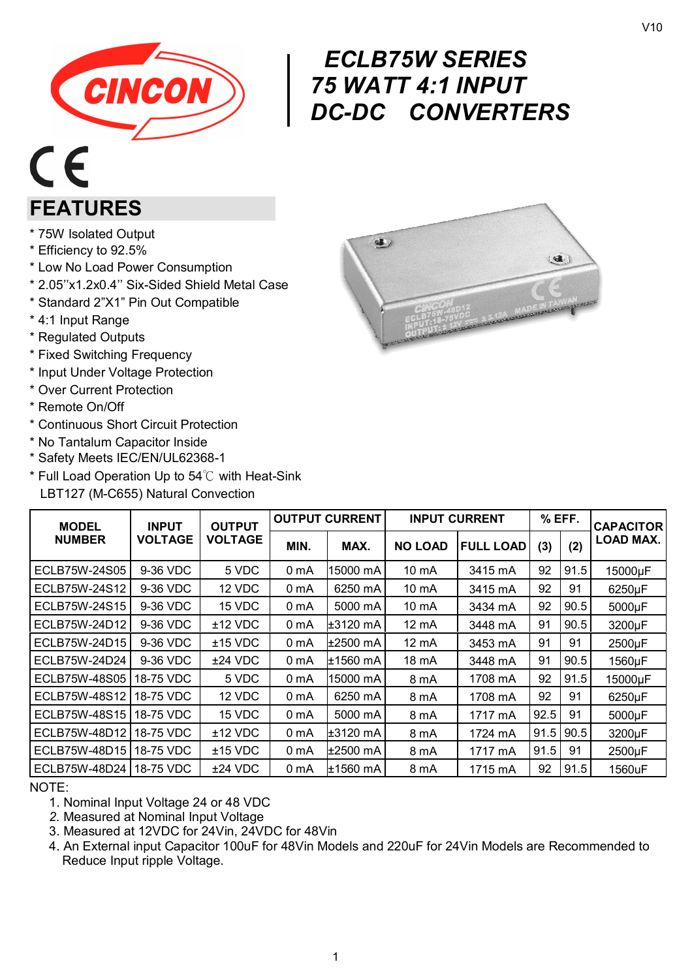

# $\begin{array}{c} \nE \set \n75 \text{ V} \nDC \cdot \n\end{array}$ *ECLB75W SERIES 75 WATT 4:1 INPUT DC-DC CONVERTERS*

# $\epsilon$ **FEATURES**

- \* 75W Isolated Output
- \* Efficiency to 92.5%
- \* Low No Load Power Consumption
- \* 2.05''x1.2x0.4'' Six-Sided Shield Metal Case
- \* Standard 2"X1" Pin Out Compatible
- \* 4:1 Input Range
- \* Regulated Outputs
- \* Fixed Switching Frequency
- \* Input Under Voltage Protection
- \* Over Current Protection
- \* Remote On/Off
- \* Continuous Short Circuit Protection
- \* No Tantalum Capacitor Inside
- \* Safety Meets IEC/EN/UL62368-1
- \* Full Load Operation Up to 54℃ with Heat-Sink LBT127 (M-C655) Natural Convection

| 爆                                                 |
|---------------------------------------------------|
|                                                   |
| MADE IN TAIWAN<br>CINCON<br>ECLB75W-48D12<br>2420 |
|                                                   |

| <b>MODEL</b>              | <b>OUTPUT</b><br><b>INPUT</b> |                | <b>OUTPUT CURRENT</b> |            | <b>INPUT CURRENT</b> |                  | $%$ EFF. |      | <b>CAPACITORI</b> |
|---------------------------|-------------------------------|----------------|-----------------------|------------|----------------------|------------------|----------|------|-------------------|
| <b>NUMBER</b>             | <b>VOLTAGE</b>                | <b>VOLTAGE</b> | MIN.                  | MAX.       | <b>NO LOAD</b>       | <b>FULL LOAD</b> | (3)      | (2)  | LOAD MAX.         |
| ECLB75W-24S05             | 9-36 VDC                      | 5 VDC          | 0 mA                  | 15000 mA   | 10 mA                | 3415 mA          | 92       | 91.5 | 15000µF           |
| ECLB75W-24S12             | 9-36 VDC                      | 12 VDC         | 0 mA                  | 6250 mA    | 10 mA                | 3415 mA          | 92       | 91   | 6250µF            |
| ECLB75W-24S15             | 9-36 VDC                      | 15 VDC         | 0 mA                  | 5000 mA    | 10 mA                | 3434 mA          | 92       | 90.5 | 5000µF            |
| ECLB75W-24D12             | 9-36 VDC                      | $±12$ VDC      | 0 mA                  | $±3120$ mA | $12 \text{ mA}$      | 3448 mA          | 91       | 90.5 | 3200µF            |
| ECLB75W-24D15             | 9-36 VDC                      | $±15$ VDC      | 0 mA                  | ±2500 mA   | 12 mA                | 3453 mA          | 91       | 91   | 2500µF            |
| ECLB75W-24D24             | 9-36 VDC                      | $±24$ VDC      | 0 mA                  | ±1560 mA   | 18 mA                | 3448 mA          | 91       | 90.5 | 1560µF            |
| ECLB75W-48S05             | 18-75 VDC                     | 5 VDC          | 0 <sub>m</sub> A      | 15000 mA   | 8 mA                 | 1708 mA          | 92       | 91.5 | 15000µF           |
| ECLB75W-48S12             | 18-75 VDC                     | 12 VDC         | 0 <sub>m</sub> A      | 6250 mA    | 8 mA                 | 1708 mA          | 92       | 91   | 6250µF            |
| ECLB75W-48S15             | 18-75 VDC                     | 15 VDC         | 0 <sub>m</sub> A      | 5000 mA    | 8 mA                 | 1717 mA          | 92.5     | 91   | 5000µF            |
| ECLB75W-48D12   18-75 VDC |                               | $±12$ VDC      | 0 <sub>m</sub> A      | $±3120$ mA | 8 mA                 | 1724 mA          | 91.5     | 90.5 | 3200µF            |
| ECLB75W-48D15118-75 VDC   |                               | $±15$ VDC      | 0 mA                  | ±2500 mA   | 8 mA                 | 1717 mA          | 91.5     | 91   | 2500µF            |
| ECLB75W-48D24   18-75 VDC |                               | $±24$ VDC      | 0 mA                  | ±1560 mA   | 8 mA                 | 1715 mA          | 92       | 91.5 | 1560uF            |

NOTE:

- 1. Nominal Input Voltage 24 or 48 VDC
- *2.* Measured at Nominal Input Voltage
- 3. Measured at 12VDC for 24Vin, 24VDC for 48Vin
- 4. An External input Capacitor 100uF for 48Vin Models and 220uF for 24Vin Models are Recommended to Reduce Input ripple Voltage.